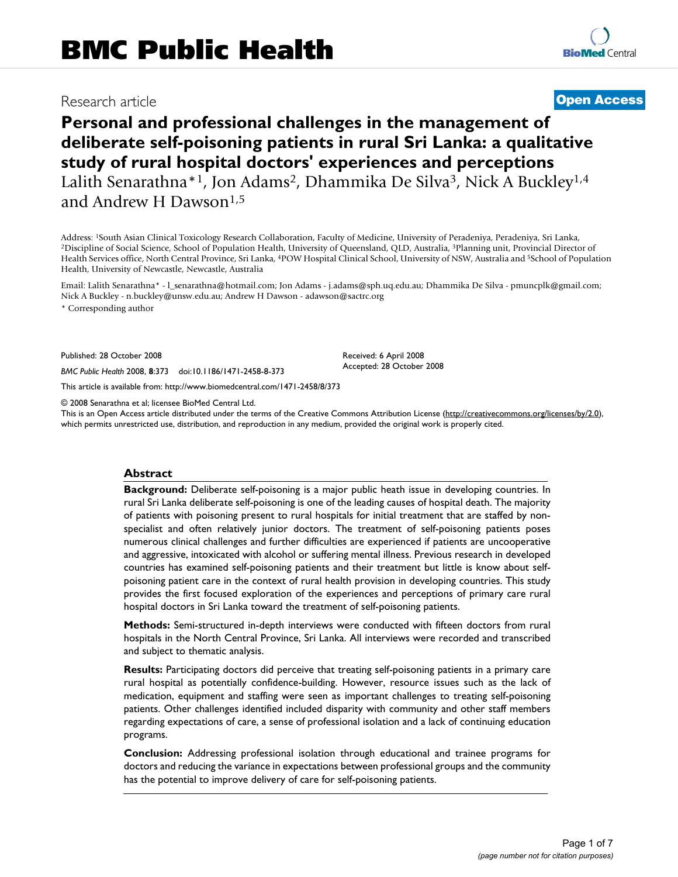## Research article **[Open Access](http://www.biomedcentral.com/info/about/charter/)**

# **Personal and professional challenges in the management of deliberate self-poisoning patients in rural Sri Lanka: a qualitative study of rural hospital doctors' experiences and perceptions** Lalith Senarathna<sup>\*1</sup>, Jon Adams<sup>2</sup>, Dhammika De Silva<sup>3</sup>, Nick A Buckley<sup>1,4</sup> and Andrew H Dawson<sup>1,5</sup>

Address: <sup>1</sup>South Asian Clinical Toxicology Research Collaboration, Faculty of Medicine, University of Peradeniya, Peradeniya, Sri Lanka,<br><sup>2</sup>Discipline of Social Science, School of Population Health, University of Queensla Health Services office, North Central Province, Sri Lanka, 4POW Hospital Clinical School, University of NSW, Australia and 5School of Population Health, University of Newcastle, Newcastle, Australia

Email: Lalith Senarathna\* - l\_senarathna@hotmail.com; Jon Adams - j.adams@sph.uq.edu.au; Dhammika De Silva - pmuncplk@gmail.com; Nick A Buckley - n.buckley@unsw.edu.au; Andrew H Dawson - adawson@sactrc.org

\* Corresponding author

Published: 28 October 2008

*BMC Public Health* 2008, **8**:373 doi:10.1186/1471-2458-8-373

[This article is available from: http://www.biomedcentral.com/1471-2458/8/373](http://www.biomedcentral.com/1471-2458/8/373)

© 2008 Senarathna et al; licensee BioMed Central Ltd.

This is an Open Access article distributed under the terms of the Creative Commons Attribution License [\(http://creativecommons.org/licenses/by/2.0\)](http://creativecommons.org/licenses/by/2.0), which permits unrestricted use, distribution, and reproduction in any medium, provided the original work is properly cited.

Received: 6 April 2008 Accepted: 28 October 2008

#### **Abstract**

**Background:** Deliberate self-poisoning is a major public heath issue in developing countries. In rural Sri Lanka deliberate self-poisoning is one of the leading causes of hospital death. The majority of patients with poisoning present to rural hospitals for initial treatment that are staffed by nonspecialist and often relatively junior doctors. The treatment of self-poisoning patients poses numerous clinical challenges and further difficulties are experienced if patients are uncooperative and aggressive, intoxicated with alcohol or suffering mental illness. Previous research in developed countries has examined self-poisoning patients and their treatment but little is know about selfpoisoning patient care in the context of rural health provision in developing countries. This study provides the first focused exploration of the experiences and perceptions of primary care rural hospital doctors in Sri Lanka toward the treatment of self-poisoning patients.

**Methods:** Semi-structured in-depth interviews were conducted with fifteen doctors from rural hospitals in the North Central Province, Sri Lanka. All interviews were recorded and transcribed and subject to thematic analysis.

**Results:** Participating doctors did perceive that treating self-poisoning patients in a primary care rural hospital as potentially confidence-building. However, resource issues such as the lack of medication, equipment and staffing were seen as important challenges to treating self-poisoning patients. Other challenges identified included disparity with community and other staff members regarding expectations of care, a sense of professional isolation and a lack of continuing education programs.

**Conclusion:** Addressing professional isolation through educational and trainee programs for doctors and reducing the variance in expectations between professional groups and the community has the potential to improve delivery of care for self-poisoning patients.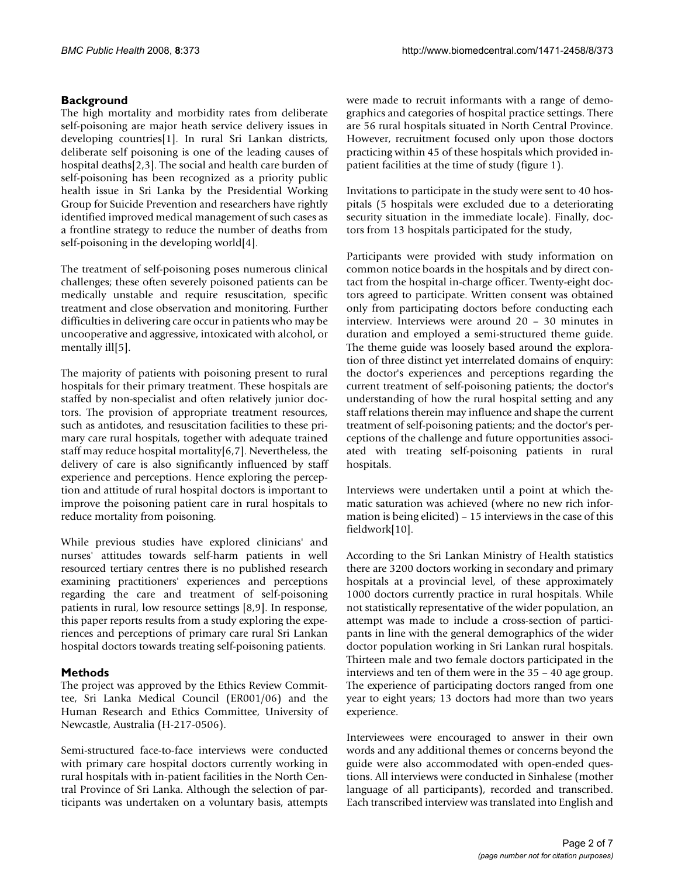### **Background**

The high mortality and morbidity rates from deliberate self-poisoning are major heath service delivery issues in developing countries[1]. In rural Sri Lankan districts, deliberate self poisoning is one of the leading causes of hospital deaths[2,3]. The social and health care burden of self-poisoning has been recognized as a priority public health issue in Sri Lanka by the Presidential Working Group for Suicide Prevention and researchers have rightly identified improved medical management of such cases as a frontline strategy to reduce the number of deaths from self-poisoning in the developing world[4].

The treatment of self-poisoning poses numerous clinical challenges; these often severely poisoned patients can be medically unstable and require resuscitation, specific treatment and close observation and monitoring. Further difficulties in delivering care occur in patients who may be uncooperative and aggressive, intoxicated with alcohol, or mentally ill[5].

The majority of patients with poisoning present to rural hospitals for their primary treatment. These hospitals are staffed by non-specialist and often relatively junior doctors. The provision of appropriate treatment resources, such as antidotes, and resuscitation facilities to these primary care rural hospitals, together with adequate trained staff may reduce hospital mortality[6,7]. Nevertheless, the delivery of care is also significantly influenced by staff experience and perceptions. Hence exploring the perception and attitude of rural hospital doctors is important to improve the poisoning patient care in rural hospitals to reduce mortality from poisoning.

While previous studies have explored clinicians' and nurses' attitudes towards self-harm patients in well resourced tertiary centres there is no published research examining practitioners' experiences and perceptions regarding the care and treatment of self-poisoning patients in rural, low resource settings [8,9]. In response, this paper reports results from a study exploring the experiences and perceptions of primary care rural Sri Lankan hospital doctors towards treating self-poisoning patients.

#### **Methods**

The project was approved by the Ethics Review Committee, Sri Lanka Medical Council (ER001/06) and the Human Research and Ethics Committee, University of Newcastle, Australia (H-217-0506).

Semi-structured face-to-face interviews were conducted with primary care hospital doctors currently working in rural hospitals with in-patient facilities in the North Central Province of Sri Lanka. Although the selection of participants was undertaken on a voluntary basis, attempts were made to recruit informants with a range of demographics and categories of hospital practice settings. There are 56 rural hospitals situated in North Central Province. However, recruitment focused only upon those doctors practicing within 45 of these hospitals which provided inpatient facilities at the time of study (figure 1).

Invitations to participate in the study were sent to 40 hospitals (5 hospitals were excluded due to a deteriorating security situation in the immediate locale). Finally, doctors from 13 hospitals participated for the study,

Participants were provided with study information on common notice boards in the hospitals and by direct contact from the hospital in-charge officer. Twenty-eight doctors agreed to participate. Written consent was obtained only from participating doctors before conducting each interview. Interviews were around 20 – 30 minutes in duration and employed a semi-structured theme guide. The theme guide was loosely based around the exploration of three distinct yet interrelated domains of enquiry: the doctor's experiences and perceptions regarding the current treatment of self-poisoning patients; the doctor's understanding of how the rural hospital setting and any staff relations therein may influence and shape the current treatment of self-poisoning patients; and the doctor's perceptions of the challenge and future opportunities associated with treating self-poisoning patients in rural hospitals.

Interviews were undertaken until a point at which thematic saturation was achieved (where no new rich information is being elicited) – 15 interviews in the case of this fieldwork[10].

According to the Sri Lankan Ministry of Health statistics there are 3200 doctors working in secondary and primary hospitals at a provincial level, of these approximately 1000 doctors currently practice in rural hospitals. While not statistically representative of the wider population, an attempt was made to include a cross-section of participants in line with the general demographics of the wider doctor population working in Sri Lankan rural hospitals. Thirteen male and two female doctors participated in the interviews and ten of them were in the 35 – 40 age group. The experience of participating doctors ranged from one year to eight years; 13 doctors had more than two years experience.

Interviewees were encouraged to answer in their own words and any additional themes or concerns beyond the guide were also accommodated with open-ended questions. All interviews were conducted in Sinhalese (mother language of all participants), recorded and transcribed. Each transcribed interview was translated into English and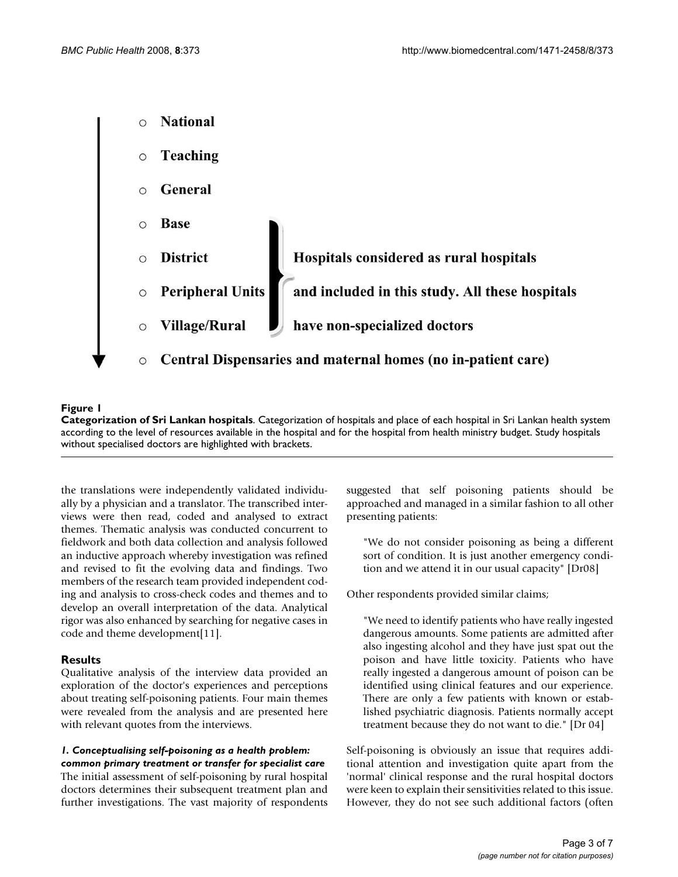

#### Figure 1

**Categorization of Sri Lankan hospitals**. Categorization of hospitals and place of each hospital in Sri Lankan health system according to the level of resources available in the hospital and for the hospital from health ministry budget. Study hospitals without specialised doctors are highlighted with brackets.

the translations were independently validated individually by a physician and a translator. The transcribed interviews were then read, coded and analysed to extract themes. Thematic analysis was conducted concurrent to fieldwork and both data collection and analysis followed an inductive approach whereby investigation was refined and revised to fit the evolving data and findings. Two members of the research team provided independent coding and analysis to cross-check codes and themes and to develop an overall interpretation of the data. Analytical rigor was also enhanced by searching for negative cases in code and theme development[11].

#### **Results**

Qualitative analysis of the interview data provided an exploration of the doctor's experiences and perceptions about treating self-poisoning patients. Four main themes were revealed from the analysis and are presented here with relevant quotes from the interviews.

#### *1. Conceptualising self-poisoning as a health problem: common primary treatment or transfer for specialist care*

The initial assessment of self-poisoning by rural hospital doctors determines their subsequent treatment plan and further investigations. The vast majority of respondents suggested that self poisoning patients should be approached and managed in a similar fashion to all other presenting patients:

"We do not consider poisoning as being a different sort of condition. It is just another emergency condition and we attend it in our usual capacity" [Dr08]

Other respondents provided similar claims;

"We need to identify patients who have really ingested dangerous amounts. Some patients are admitted after also ingesting alcohol and they have just spat out the poison and have little toxicity. Patients who have really ingested a dangerous amount of poison can be identified using clinical features and our experience. There are only a few patients with known or established psychiatric diagnosis. Patients normally accept treatment because they do not want to die." [Dr 04]

Self-poisoning is obviously an issue that requires additional attention and investigation quite apart from the 'normal' clinical response and the rural hospital doctors were keen to explain their sensitivities related to this issue. However, they do not see such additional factors (often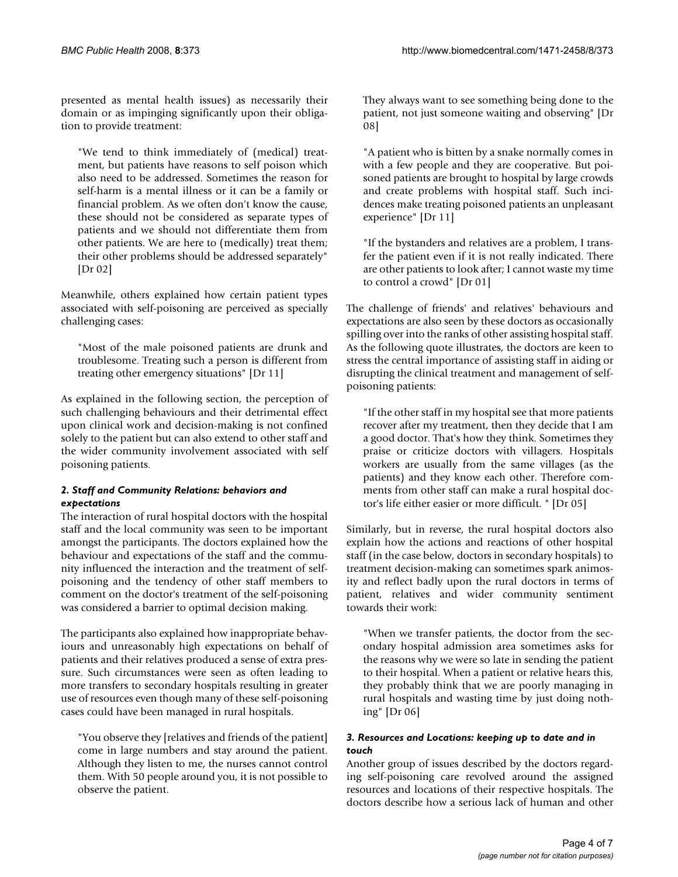presented as mental health issues) as necessarily their domain or as impinging significantly upon their obligation to provide treatment:

"We tend to think immediately of (medical) treatment, but patients have reasons to self poison which also need to be addressed. Sometimes the reason for self-harm is a mental illness or it can be a family or financial problem. As we often don't know the cause, these should not be considered as separate types of patients and we should not differentiate them from other patients. We are here to (medically) treat them; their other problems should be addressed separately" [Dr 02]

Meanwhile, others explained how certain patient types associated with self-poisoning are perceived as specially challenging cases:

"Most of the male poisoned patients are drunk and troublesome. Treating such a person is different from treating other emergency situations" [Dr 11]

As explained in the following section, the perception of such challenging behaviours and their detrimental effect upon clinical work and decision-making is not confined solely to the patient but can also extend to other staff and the wider community involvement associated with self poisoning patients.

#### *2. Staff and Community Relations: behaviors and expectations*

The interaction of rural hospital doctors with the hospital staff and the local community was seen to be important amongst the participants. The doctors explained how the behaviour and expectations of the staff and the community influenced the interaction and the treatment of selfpoisoning and the tendency of other staff members to comment on the doctor's treatment of the self-poisoning was considered a barrier to optimal decision making.

The participants also explained how inappropriate behaviours and unreasonably high expectations on behalf of patients and their relatives produced a sense of extra pressure. Such circumstances were seen as often leading to more transfers to secondary hospitals resulting in greater use of resources even though many of these self-poisoning cases could have been managed in rural hospitals.

"You observe they [relatives and friends of the patient] come in large numbers and stay around the patient. Although they listen to me, the nurses cannot control them. With 50 people around you, it is not possible to observe the patient.

They always want to see something being done to the patient, not just someone waiting and observing" [Dr 08]

"A patient who is bitten by a snake normally comes in with a few people and they are cooperative. But poisoned patients are brought to hospital by large crowds and create problems with hospital staff. Such incidences make treating poisoned patients an unpleasant experience" [Dr 11]

"If the bystanders and relatives are a problem, I transfer the patient even if it is not really indicated. There are other patients to look after; I cannot waste my time to control a crowd" [Dr 01]

The challenge of friends' and relatives' behaviours and expectations are also seen by these doctors as occasionally spilling over into the ranks of other assisting hospital staff. As the following quote illustrates, the doctors are keen to stress the central importance of assisting staff in aiding or disrupting the clinical treatment and management of selfpoisoning patients:

"If the other staff in my hospital see that more patients recover after my treatment, then they decide that I am a good doctor. That's how they think. Sometimes they praise or criticize doctors with villagers. Hospitals workers are usually from the same villages (as the patients) and they know each other. Therefore comments from other staff can make a rural hospital doctor's life either easier or more difficult. " [Dr 05]

Similarly, but in reverse, the rural hospital doctors also explain how the actions and reactions of other hospital staff (in the case below, doctors in secondary hospitals) to treatment decision-making can sometimes spark animosity and reflect badly upon the rural doctors in terms of patient, relatives and wider community sentiment towards their work:

"When we transfer patients, the doctor from the secondary hospital admission area sometimes asks for the reasons why we were so late in sending the patient to their hospital. When a patient or relative hears this, they probably think that we are poorly managing in rural hospitals and wasting time by just doing nothing" [Dr 06]

#### *3. Resources and Locations: keeping up to date and in touch*

Another group of issues described by the doctors regarding self-poisoning care revolved around the assigned resources and locations of their respective hospitals. The doctors describe how a serious lack of human and other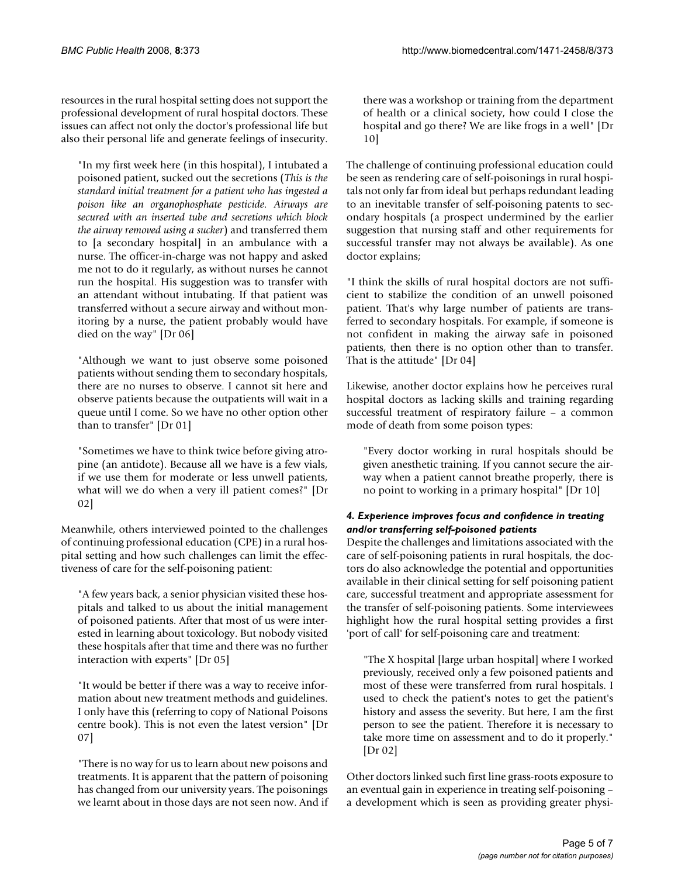resources in the rural hospital setting does not support the professional development of rural hospital doctors. These issues can affect not only the doctor's professional life but also their personal life and generate feelings of insecurity.

"In my first week here (in this hospital), I intubated a poisoned patient, sucked out the secretions (*This is the standard initial treatment for a patient who has ingested a poison like an organophosphate pesticide. Airways are secured with an inserted tube and secretions which block the airway removed using a sucker*) and transferred them to [a secondary hospital] in an ambulance with a nurse. The officer-in-charge was not happy and asked me not to do it regularly, as without nurses he cannot run the hospital. His suggestion was to transfer with an attendant without intubating. If that patient was transferred without a secure airway and without monitoring by a nurse, the patient probably would have died on the way" [Dr 06]

"Although we want to just observe some poisoned patients without sending them to secondary hospitals, there are no nurses to observe. I cannot sit here and observe patients because the outpatients will wait in a queue until I come. So we have no other option other than to transfer" [Dr 01]

"Sometimes we have to think twice before giving atropine (an antidote). Because all we have is a few vials, if we use them for moderate or less unwell patients, what will we do when a very ill patient comes?" [Dr 02]

Meanwhile, others interviewed pointed to the challenges of continuing professional education (CPE) in a rural hospital setting and how such challenges can limit the effectiveness of care for the self-poisoning patient:

"A few years back, a senior physician visited these hospitals and talked to us about the initial management of poisoned patients. After that most of us were interested in learning about toxicology. But nobody visited these hospitals after that time and there was no further interaction with experts" [Dr 05]

"It would be better if there was a way to receive information about new treatment methods and guidelines. I only have this (referring to copy of National Poisons centre book). This is not even the latest version" [Dr 07]

"There is no way for us to learn about new poisons and treatments. It is apparent that the pattern of poisoning has changed from our university years. The poisonings we learnt about in those days are not seen now. And if

there was a workshop or training from the department of health or a clinical society, how could I close the hospital and go there? We are like frogs in a well" [Dr 10]

The challenge of continuing professional education could be seen as rendering care of self-poisonings in rural hospitals not only far from ideal but perhaps redundant leading to an inevitable transfer of self-poisoning patents to secondary hospitals (a prospect undermined by the earlier suggestion that nursing staff and other requirements for successful transfer may not always be available). As one doctor explains;

"I think the skills of rural hospital doctors are not sufficient to stabilize the condition of an unwell poisoned patient. That's why large number of patients are transferred to secondary hospitals. For example, if someone is not confident in making the airway safe in poisoned patients, then there is no option other than to transfer. That is the attitude" [Dr 04]

Likewise, another doctor explains how he perceives rural hospital doctors as lacking skills and training regarding successful treatment of respiratory failure – a common mode of death from some poison types:

"Every doctor working in rural hospitals should be given anesthetic training. If you cannot secure the airway when a patient cannot breathe properly, there is no point to working in a primary hospital" [Dr 10]

#### *4. Experience improves focus and confidence in treating and/or transferring self-poisoned patients*

Despite the challenges and limitations associated with the care of self-poisoning patients in rural hospitals, the doctors do also acknowledge the potential and opportunities available in their clinical setting for self poisoning patient care, successful treatment and appropriate assessment for the transfer of self-poisoning patients. Some interviewees highlight how the rural hospital setting provides a first 'port of call' for self-poisoning care and treatment:

"The X hospital [large urban hospital] where I worked previously, received only a few poisoned patients and most of these were transferred from rural hospitals. I used to check the patient's notes to get the patient's history and assess the severity. But here, I am the first person to see the patient. Therefore it is necessary to take more time on assessment and to do it properly." [Dr 02]

Other doctors linked such first line grass-roots exposure to an eventual gain in experience in treating self-poisoning – a development which is seen as providing greater physi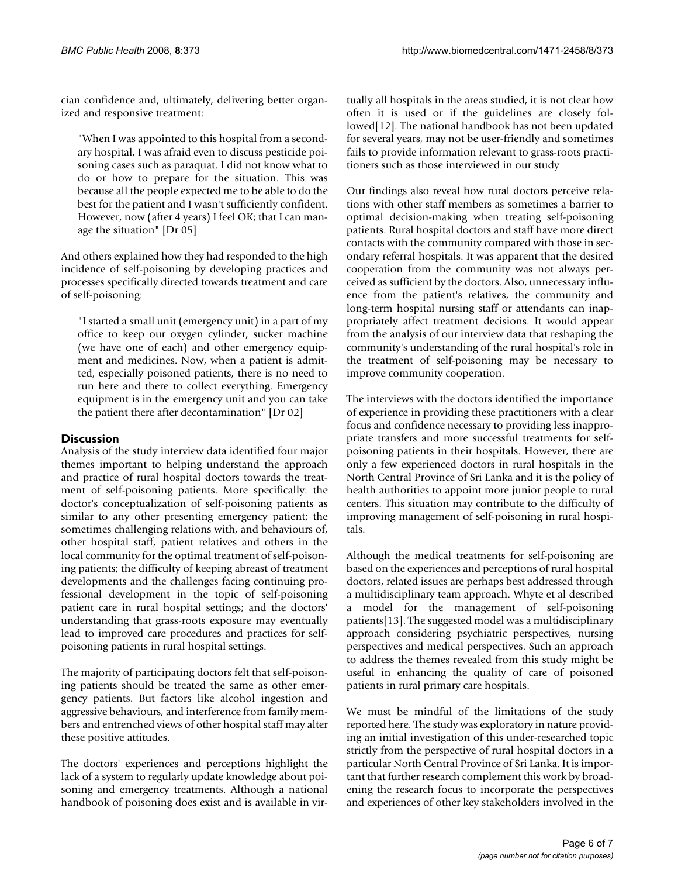cian confidence and, ultimately, delivering better organized and responsive treatment:

"When I was appointed to this hospital from a secondary hospital, I was afraid even to discuss pesticide poisoning cases such as paraquat. I did not know what to do or how to prepare for the situation. This was because all the people expected me to be able to do the best for the patient and I wasn't sufficiently confident. However, now (after 4 years) I feel OK; that I can manage the situation" [Dr 05]

And others explained how they had responded to the high incidence of self-poisoning by developing practices and processes specifically directed towards treatment and care of self-poisoning:

"I started a small unit (emergency unit) in a part of my office to keep our oxygen cylinder, sucker machine (we have one of each) and other emergency equipment and medicines. Now, when a patient is admitted, especially poisoned patients, there is no need to run here and there to collect everything. Emergency equipment is in the emergency unit and you can take the patient there after decontamination" [Dr 02]

#### **Discussion**

Analysis of the study interview data identified four major themes important to helping understand the approach and practice of rural hospital doctors towards the treatment of self-poisoning patients. More specifically: the doctor's conceptualization of self-poisoning patients as similar to any other presenting emergency patient; the sometimes challenging relations with, and behaviours of, other hospital staff, patient relatives and others in the local community for the optimal treatment of self-poisoning patients; the difficulty of keeping abreast of treatment developments and the challenges facing continuing professional development in the topic of self-poisoning patient care in rural hospital settings; and the doctors' understanding that grass-roots exposure may eventually lead to improved care procedures and practices for selfpoisoning patients in rural hospital settings.

The majority of participating doctors felt that self-poisoning patients should be treated the same as other emergency patients. But factors like alcohol ingestion and aggressive behaviours, and interference from family members and entrenched views of other hospital staff may alter these positive attitudes.

The doctors' experiences and perceptions highlight the lack of a system to regularly update knowledge about poisoning and emergency treatments. Although a national handbook of poisoning does exist and is available in virtually all hospitals in the areas studied, it is not clear how often it is used or if the guidelines are closely followed[12]. The national handbook has not been updated for several years, may not be user-friendly and sometimes fails to provide information relevant to grass-roots practitioners such as those interviewed in our study

Our findings also reveal how rural doctors perceive relations with other staff members as sometimes a barrier to optimal decision-making when treating self-poisoning patients. Rural hospital doctors and staff have more direct contacts with the community compared with those in secondary referral hospitals. It was apparent that the desired cooperation from the community was not always perceived as sufficient by the doctors. Also, unnecessary influence from the patient's relatives, the community and long-term hospital nursing staff or attendants can inappropriately affect treatment decisions. It would appear from the analysis of our interview data that reshaping the community's understanding of the rural hospital's role in the treatment of self-poisoning may be necessary to improve community cooperation.

The interviews with the doctors identified the importance of experience in providing these practitioners with a clear focus and confidence necessary to providing less inappropriate transfers and more successful treatments for selfpoisoning patients in their hospitals. However, there are only a few experienced doctors in rural hospitals in the North Central Province of Sri Lanka and it is the policy of health authorities to appoint more junior people to rural centers. This situation may contribute to the difficulty of improving management of self-poisoning in rural hospitals.

Although the medical treatments for self-poisoning are based on the experiences and perceptions of rural hospital doctors, related issues are perhaps best addressed through a multidisciplinary team approach. Whyte et al described a model for the management of self-poisoning patients[13]. The suggested model was a multidisciplinary approach considering psychiatric perspectives, nursing perspectives and medical perspectives. Such an approach to address the themes revealed from this study might be useful in enhancing the quality of care of poisoned patients in rural primary care hospitals.

We must be mindful of the limitations of the study reported here. The study was exploratory in nature providing an initial investigation of this under-researched topic strictly from the perspective of rural hospital doctors in a particular North Central Province of Sri Lanka. It is important that further research complement this work by broadening the research focus to incorporate the perspectives and experiences of other key stakeholders involved in the